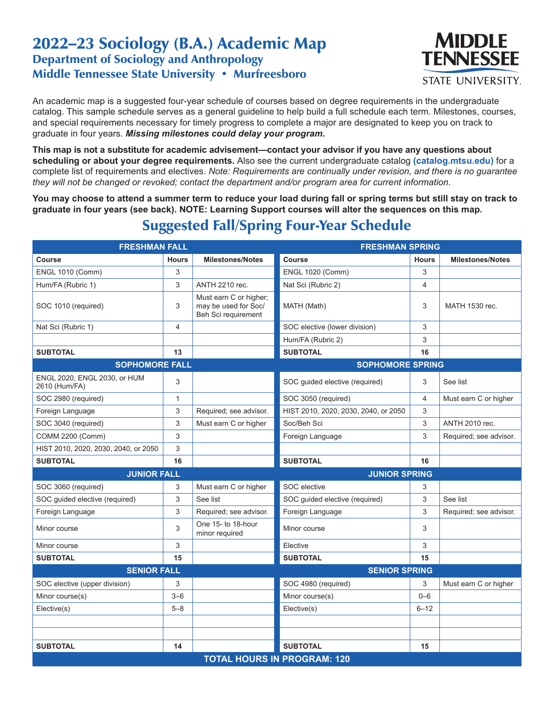## 2022–23 Sociology (B.A.) Academic Map Department of Sociology and Anthropology Middle Tennessee State University • Murfreesboro



An academic map is a suggested four-year schedule of courses based on degree requirements in the undergraduate catalog. This sample schedule serves as a general guideline to help build a full schedule each term. Milestones, courses, and special requirements necessary for timely progress to complete a major are designated to keep you on track to graduate in four years. *Missing milestones could delay your program.*

**This map is not a substitute for academic advisement—contact your advisor if you have any questions about scheduling or about your degree requirements.** Also see the current undergraduate catalog **(catalog.mtsu.edu)** for a complete list of requirements and electives. *Note: Requirements are continually under revision, and there is no guarantee they will not be changed or revoked; contact the department and/or program area for current information.*

**You may choose to attend a summer term to reduce your load during fall or spring terms but still stay on track to graduate in four years (see back). NOTE: Learning Support courses will alter the sequences on this map.**

| <b>FRESHMAN FALL</b>                          |                |                                                                       | <b>FRESHMAN SPRING</b>               |              |                         |  |  |
|-----------------------------------------------|----------------|-----------------------------------------------------------------------|--------------------------------------|--------------|-------------------------|--|--|
| Course                                        | <b>Hours</b>   | <b>Milestones/Notes</b>                                               | <b>Course</b>                        | <b>Hours</b> | <b>Milestones/Notes</b> |  |  |
| <b>ENGL 1010 (Comm)</b>                       | 3              |                                                                       | <b>ENGL 1020 (Comm)</b>              | 3            |                         |  |  |
| Hum/FA (Rubric 1)                             | 3              | ANTH 2210 rec.                                                        | Nat Sci (Rubric 2)                   | 4            |                         |  |  |
| SOC 1010 (required)                           | 3              | Must earn C or higher;<br>may be used for Soc/<br>Beh Sci requirement | MATH (Math)                          | 3            | MATH 1530 rec.          |  |  |
| Nat Sci (Rubric 1)                            | $\overline{4}$ |                                                                       | SOC elective (lower division)        | 3            |                         |  |  |
|                                               |                |                                                                       | Hum/FA (Rubric 2)                    | 3            |                         |  |  |
| <b>SUBTOTAL</b>                               | 13             |                                                                       | <b>SUBTOTAL</b>                      | 16           |                         |  |  |
| <b>SOPHOMORE FALL</b>                         |                |                                                                       | <b>SOPHOMORE SPRING</b>              |              |                         |  |  |
| ENGL 2020, ENGL 2030, or HUM<br>2610 (Hum/FA) | 3              |                                                                       | SOC guided elective (required)       | 3            | See list                |  |  |
| SOC 2980 (required)                           | $\mathbf{1}$   |                                                                       | SOC 3050 (required)                  | 4            | Must earn C or higher   |  |  |
| Foreign Language                              | 3              | Required; see advisor.                                                | HIST 2010, 2020, 2030, 2040, or 2050 | 3            |                         |  |  |
| SOC 3040 (required)                           | 3              | Must earn C or higher                                                 | Soc/Beh Sci                          | 3            | <b>ANTH 2010 rec.</b>   |  |  |
| COMM 2200 (Comm)                              | 3              |                                                                       | Foreign Language                     | 3            | Required; see advisor.  |  |  |
| HIST 2010, 2020, 2030, 2040, or 2050          | 3              |                                                                       |                                      |              |                         |  |  |
| <b>SUBTOTAL</b>                               | 16             |                                                                       | <b>SUBTOTAL</b>                      | 16           |                         |  |  |
| <b>JUNIOR FALL</b>                            |                |                                                                       | <b>JUNIOR SPRING</b>                 |              |                         |  |  |
| SOC 3060 (required)                           | 3              | Must earn C or higher                                                 | SOC elective                         | 3            |                         |  |  |
| SOC guided elective (required)                | 3              | See list                                                              | SOC guided elective (required)       | 3            | See list                |  |  |
| Foreign Language                              | 3              | Required; see advisor.                                                | Foreign Language                     | 3            | Required; see advisor.  |  |  |
| Minor course                                  | 3              | One 15- to 18-hour<br>minor required                                  | Minor course                         | 3            |                         |  |  |
| Minor course                                  | 3              |                                                                       | Elective                             | 3            |                         |  |  |
| <b>SUBTOTAL</b>                               | 15             |                                                                       | <b>SUBTOTAL</b>                      | 15           |                         |  |  |
| <b>SENIOR FALL</b>                            |                |                                                                       | <b>SENIOR SPRING</b>                 |              |                         |  |  |
| SOC elective (upper division)                 | 3              |                                                                       | SOC 4980 (required)                  | 3            | Must earn C or higher   |  |  |
| Minor course(s)                               | $3 - 6$        |                                                                       | Minor course(s)                      | $0 - 6$      |                         |  |  |
| Elective(s)                                   | $5 - 8$        |                                                                       | Elective(s)                          | $6 - 12$     |                         |  |  |
|                                               |                |                                                                       |                                      |              |                         |  |  |
|                                               |                |                                                                       |                                      |              |                         |  |  |
| <b>SUBTOTAL</b>                               | 14             |                                                                       | <b>SUBTOTAL</b>                      | 15           |                         |  |  |
| <b>TOTAL HOURS IN PROGRAM: 120</b>            |                |                                                                       |                                      |              |                         |  |  |

## Suggested Fall/Spring Four-Year Schedule